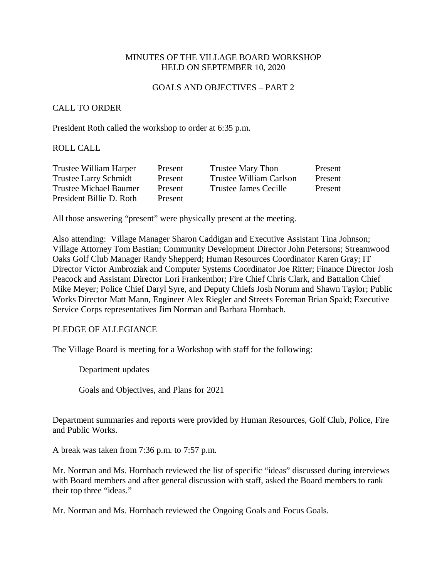# MINUTES OF THE VILLAGE BOARD WORKSHOP HELD ON SEPTEMBER 10, 2020

#### GOALS AND OBJECTIVES – PART 2

## CALL TO ORDER

President Roth called the workshop to order at 6:35 p.m.

#### ROLL CALL

| Trustee William Harper       | Present | <b>Trustee Mary Thon</b> | Present |
|------------------------------|---------|--------------------------|---------|
| <b>Trustee Larry Schmidt</b> | Present | Trustee William Carlson  | Present |
| Trustee Michael Baumer       | Present | Trustee James Cecille    | Present |
| President Billie D. Roth     | Present |                          |         |

All those answering "present" were physically present at the meeting.

Also attending: Village Manager Sharon Caddigan and Executive Assistant Tina Johnson; Village Attorney Tom Bastian; Community Development Director John Petersons; Streamwood Oaks Golf Club Manager Randy Shepperd; Human Resources Coordinator Karen Gray; IT Director Victor Ambroziak and Computer Systems Coordinator Joe Ritter; Finance Director Josh Peacock and Assistant Director Lori Frankenthor; Fire Chief Chris Clark, and Battalion Chief Mike Meyer; Police Chief Daryl Syre, and Deputy Chiefs Josh Norum and Shawn Taylor; Public Works Director Matt Mann, Engineer Alex Riegler and Streets Foreman Brian Spaid; Executive Service Corps representatives Jim Norman and Barbara Hornbach.

### PLEDGE OF ALLEGIANCE

The Village Board is meeting for a Workshop with staff for the following:

Department updates

Goals and Objectives, and Plans for 2021

Department summaries and reports were provided by Human Resources, Golf Club, Police, Fire and Public Works.

A break was taken from 7:36 p.m. to 7:57 p.m.

Mr. Norman and Ms. Hornbach reviewed the list of specific "ideas" discussed during interviews with Board members and after general discussion with staff, asked the Board members to rank their top three "ideas."

Mr. Norman and Ms. Hornbach reviewed the Ongoing Goals and Focus Goals.